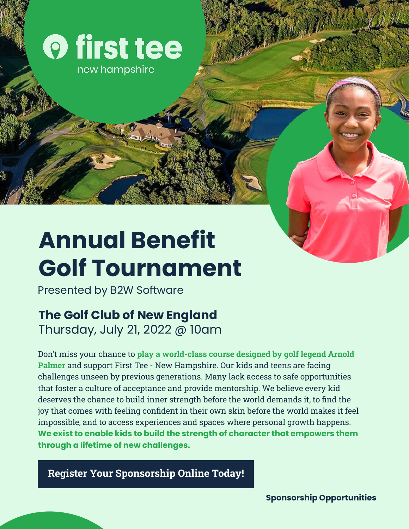

new hampshire

# **Annual Benefit Golf Tournament**

Presented by B2W Software

## **The Golf Club of New England**

Thursday, July 21, 2022 @ 10am

Don't miss your chance to **play a world-class course designed by golf legend Arnold Palmer** and support First Tee - New Hampshire. Our kids and teens are facing challenges unseen by previous generations. Many lack access to safe opportunities that foster a culture of acceptance and provide mentorship. We believe every kid deserves the chance to build inner strength before the world demands it, to find the joy that comes with feeling confident in their own skin before the world makes it feel impossible, and to access experiences and spaces where personal growth happens. **We exist to enable kids to build the strength of character that empowers them through a lifetime of new challenges.**

**[Register Your Sponsorship Online Today!](https://forms.donorsnap.com/form?id=881555c7-a57c-4bb1-baf5-200a2c69bd0e)**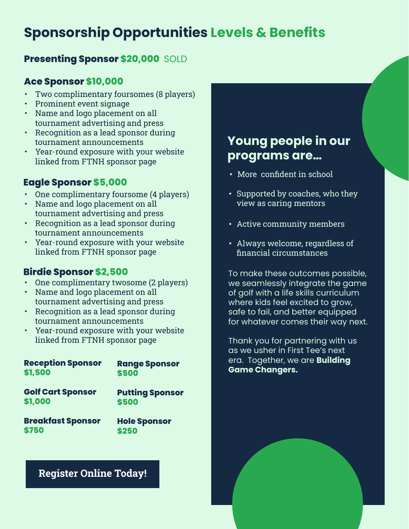## **Sponsorship Opportunities Levels & Benefits**

#### **Presenting Sponsor \$20,000** SOLD

#### **Ace Sponsor \$10,000**

- Two complimentary foursomes (8 players)
- Prominent event signage
- Name and logo placement on all tournament advertising and press
- Recognition as a lead sponsor during tournament announcements
- Year-round exposure with your website linked from FTNH sponsor page

#### **Eagle Sponsor \$5,000**

- One complimentary foursome (4 players)
- Name and logo placement on all tournament advertising and press
- Recognition as a lead sponsor during tournament announcements
- Year-round exposure with your website linked from FTNH sponsor page

#### **Birdie Sponsor \$2,500**

- One complimentary twosome (2 players)
- Name and logo placement on all tournament advertising and press
- Recognition as a lead sponsor during tournament announcements
- Year-round exposure with your website linked from FTNH sponsor page

| <b>Reception Sponsor</b> | <b>Range Sponsor</b>   |
|--------------------------|------------------------|
| \$1,500                  | \$500                  |
| <b>Golf Cart Sponsor</b> | <b>Putting Sponsor</b> |
| \$1,000                  | \$500                  |
| <b>Breakfast Sponsor</b> | <b>Hole Sponsor</b>    |
| \$750                    | \$250                  |

#### **[Register Online Today!](https://forms.donorsnap.com/form?id=881555c7-a57c-4bb1-baf5-200a2c69bd0e)**

### **Young people in our programs are…**

- More confident in school
- Supported by coaches, who they view as caring mentors
- Active community members
- Always welcome, regardless of financial circumstances

To make these outcomes possible, we seamlessly integrate the game of golf with a life skills curriculum where kids feel excited to grow, safe to fail, and better equipped for whatever comes their way next.

Thank you for partnering with us as we usher in First Tee's next era. Together, we are **Building Game Changers.**